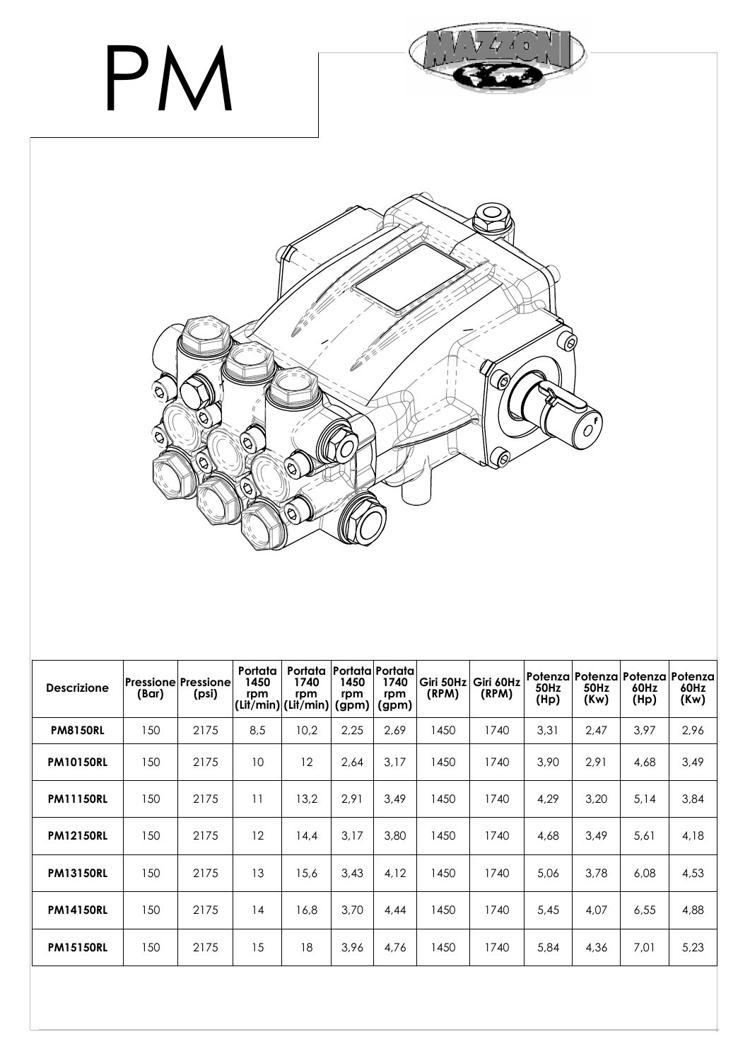

| <b>Descrizione</b> | (Bar) | Pressione Pressione  <br>(psi) | Portata<br>1450<br>rpm | Portata<br>1740<br>rpm<br>(Lit/min) (Lit/min) | 1450<br>rpm<br>(gpm) | Portata Portata<br>1740<br>rpm<br>(gpm) | Giri 50Hz<br>(RPM) | Giri 60Hz<br>(RPM) | 50Hz<br>(Hp) | <b>50Hz</b><br>(Kw) | Potenza   Potenza   Potenza   Potenza<br>60Hz<br>(Hp) | 60Hz<br>(Kw) |
|--------------------|-------|--------------------------------|------------------------|-----------------------------------------------|----------------------|-----------------------------------------|--------------------|--------------------|--------------|---------------------|-------------------------------------------------------|--------------|
| <b>PM8150RL</b>    | 150   | 2175                           | 8,5                    | 10,2                                          | 2,25                 | 2,69                                    | 1450               | 1740               | 3,31         | 2,47                | 3,97                                                  | 2,96         |
| <b>PM10150RL</b>   | 150   | 2175                           | 10                     | 12                                            | 2,64                 | 3,17                                    | 1450               | 1740               | 3,90         | 2,91                | 4,68                                                  | 3,49         |
| <b>PM11150RL</b>   | 150   | 2175                           | 11                     | 13,2                                          | 2,91                 | 3,49                                    | 1450               | 1740               | 4,29         | 3,20                | 5,14                                                  | 3,84         |
| <b>PM12150RL</b>   | 150   | 2175                           | 12                     | 14,4                                          | 3,17                 | 3,80                                    | 1450               | 1740               | 4,68         | 3,49                | 5,61                                                  | 4,18         |
| <b>PM13150RL</b>   | 150   | 2175                           | 13                     | 15,6                                          | 3,43                 | 4,12                                    | 1450               | 1740               | 5,06         | 3,78                | 6,08                                                  | 4,53         |
| <b>PM14150RL</b>   | 150   | 2175                           | 14                     | 16.8                                          | 3.70                 | 4,44                                    | 1450               | 1740               | 5,45         | 4,07                | 6,55                                                  | 4,88         |
| <b>PM15150RL</b>   | 150   | 2175                           | 15                     | 18                                            | 3,96                 | 4,76                                    | 1450               | 1740               | 5,84         | 4,36                | 7,01                                                  | 5,23         |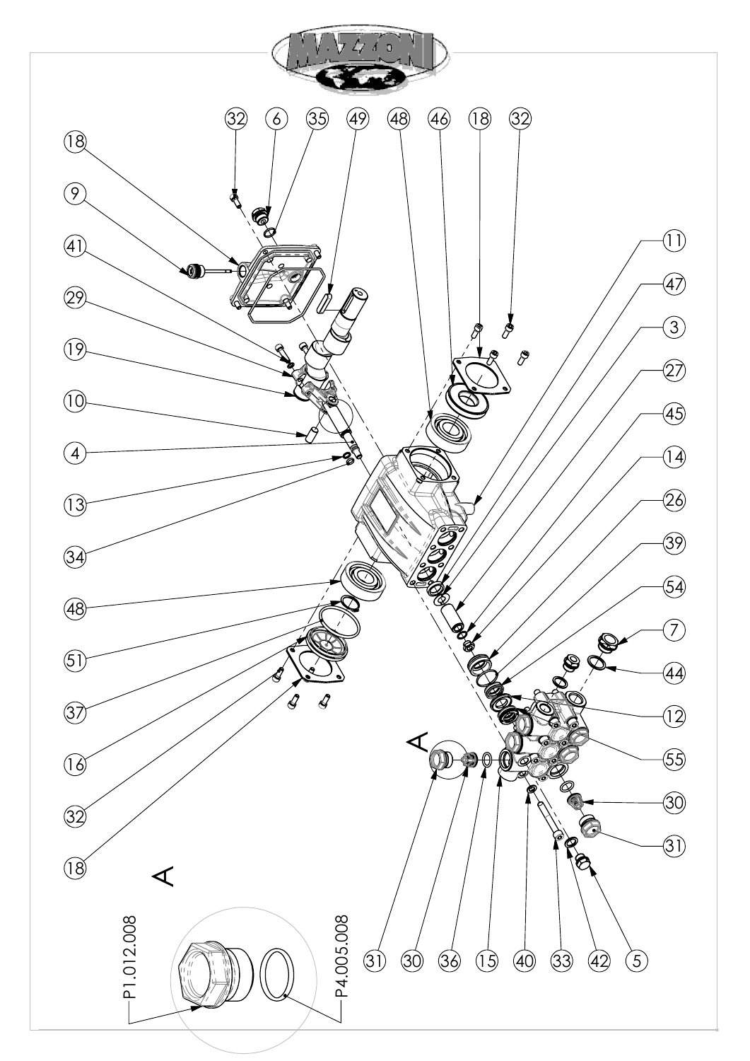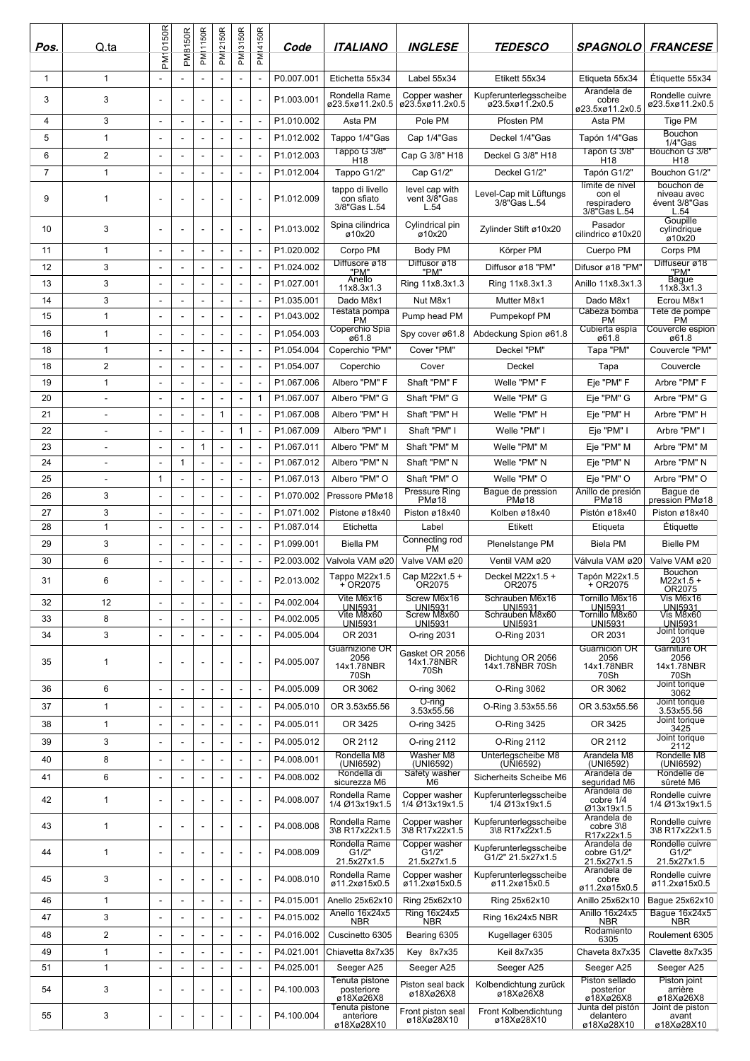| Pos.           | Q.ta                     | PM10150R                 | <b>PM8150R</b>           | <b>PM11150R</b>          | PM12150R                 | PM13150R                 | PM14150R     | Code       | <b>ITALIANO</b>                                | <i><b>INGLESE</b></i>                  | <b>TEDESCO</b>                              | <b>SPAGNOLO</b>                                          | <b>FRANCESE</b>                                    |
|----------------|--------------------------|--------------------------|--------------------------|--------------------------|--------------------------|--------------------------|--------------|------------|------------------------------------------------|----------------------------------------|---------------------------------------------|----------------------------------------------------------|----------------------------------------------------|
| 1              | $\mathbf{1}$             |                          |                          |                          |                          |                          |              | P0.007.001 | Etichetta 55x34                                | Label 55x34                            | Etikett 55x34                               | Etiqueta 55x34                                           | Étiquette 55x34                                    |
| 3              | 3                        | $\overline{a}$           |                          |                          |                          |                          |              | P1.003.001 | Rondella Rame<br>ø23.5xø11.2x0.5               | Copper washer<br>ø23.5xø11.2x0.5       | Kupferunterlegsscheibe<br>ø23.5xø11.2x0.5   | Arandela de<br>cobre<br>ø23.5xø11.2x0.5                  | Rondelle cuivre<br>ø23.5xø11.2x0.5                 |
| 4              | 3                        | $\overline{\phantom{a}}$ |                          | $\overline{a}$           | ÷,                       |                          |              | P1.010.002 | Asta PM                                        | Pole PM                                | Pfosten PM                                  | Asta PM                                                  | Tige PM                                            |
| 5              | 1                        | $\overline{\phantom{a}}$ |                          |                          |                          |                          |              | P1.012.002 | Tappo 1/4"Gas                                  | Cap 1/4"Gas                            | Deckel 1/4"Gas                              | Tapón 1/4"Gas                                            | <b>Bouchon</b><br>1/4"Gas                          |
| 6              | 2                        | $\overline{\phantom{a}}$ | ÷,                       |                          |                          |                          |              | P1.012.003 | Tappo G 3/8"<br>H <sub>18</sub>                | Cap G 3/8" H18                         | Deckel G 3/8" H18                           | Tapón G 3/8"<br>H <sub>18</sub>                          | Bouchon G 3/8"<br>H <sub>18</sub>                  |
| $\overline{7}$ | 1                        | $\overline{a}$           | ٠                        | ÷,                       |                          |                          |              | P1.012.004 | Tappo G1/2"                                    | Cap G1/2"                              | Deckel G1/2"                                | Tapón G1/2"                                              | Bouchon G1/2"                                      |
| 9              | 1                        | $\overline{\phantom{a}}$ | $\overline{a}$           |                          |                          |                          |              | P1.012.009 | tappo di livello<br>con sfiato<br>3/8"Gas L.54 | level cap with<br>vent 3/8"Gas<br>L.54 | Level-Cap mit Lüftungs<br>3/8"Gas L.54      | límite de nivel<br>con el<br>respiradero<br>3/8"Gas L.54 | bouchon de<br>niveau avec<br>évent 3/8"Gas<br>L.54 |
| 10             | 3                        | $\overline{a}$           | $\overline{a}$           |                          | $\overline{\phantom{a}}$ |                          |              | P1.013.002 | Spina cilindrica<br>ø10x20                     | Cylindrical pin<br>ø10x20              | Zylinder Stift ø10x20                       | Pasador<br>cilindrico ø10x20                             | Goupille<br>cylindrique<br>ø10x20                  |
| 11             | 1                        | $\overline{\phantom{a}}$ | $\overline{\phantom{a}}$ | $\overline{\phantom{a}}$ | $\overline{a}$           | $\overline{a}$           |              | P1.020.002 | Corpo PM                                       | Body PM                                | Körper PM                                   | Cuerpo PM                                                | Corps PM                                           |
| 12             | 3                        | $\sim$                   | ٠                        | $\overline{a}$           | ٠                        |                          |              | P1.024.002 | Diffusore ø18                                  | Diffusor ø18<br>"PM"                   | Diffusor ø18 "PM"                           | Difusor ø18 "PM"                                         | Diffuseur ø18<br>"PM"                              |
| 13             | 3                        | $\overline{\phantom{a}}$ |                          |                          | L,                       |                          |              | P1.027.001 | "PM"<br>Anello<br>11x8.3x1.3                   | Ring 11x8.3x1.3                        | Ring 11x8.3x1.3                             | Anillo 11x8.3x1.3                                        | <b>Bague</b><br>11x8.3x1.3                         |
| 14             | 3                        | $\overline{\phantom{a}}$ | $\overline{\phantom{a}}$ |                          |                          |                          |              | P1.035.001 | Dado M8x1                                      | Nut M8x1                               | Mutter M8x1                                 | Dado M8x1                                                | Ecrou M8x1                                         |
| 15             | 1                        |                          |                          |                          |                          |                          |              | P1.043.002 | Testata pompa<br>PM                            | Pump head PM                           | Pumpekopf PM                                | Cabeza bomba<br>РM                                       | Tete de pompe<br><b>PM</b>                         |
| 16             | 1                        | $\overline{\phantom{a}}$ |                          |                          |                          |                          |              | P1.054.003 | Coperchio Spia<br>ø61.8                        | Spy cover ø61.8                        | Abdeckung Spion ø61.8                       | Cubierta espía<br>ø61.8                                  | Couvercle espion<br>ø61.8                          |
| 18             | 1                        | $\overline{\phantom{a}}$ | L,                       | ÷,                       | L,                       |                          |              | P1.054.004 | Coperchio "PM"                                 | Cover "PM"                             | Deckel "PM"                                 | Tapa "PM"                                                | Couvercle "PM"                                     |
| 18             | $\overline{2}$           | $\overline{\phantom{a}}$ | ٠                        | $\overline{\phantom{a}}$ | ٠                        | $\overline{\phantom{a}}$ |              | P1.054.007 | Coperchio                                      | Cover                                  | Deckel                                      | Tapa                                                     | Couvercle                                          |
| 19             | 1                        | $\overline{\phantom{a}}$ | ÷,                       | ÷,                       | $\overline{a}$           |                          |              | P1.067.006 | Albero "PM" F                                  | Shaft "PM" F                           | Welle "PM" F                                | Eje "PM" F                                               | Arbre "PM" F                                       |
| 20             | $\overline{\phantom{a}}$ | $\overline{\phantom{a}}$ | $\overline{\phantom{a}}$ | $\overline{\phantom{a}}$ |                          | $\overline{\phantom{a}}$ | $\mathbf{1}$ | P1.067.007 | Albero "PM" G                                  | Shaft "PM" G                           | Welle "PM" G                                | Eje "PM" G                                               | Arbre "PM" G                                       |
| 21             | ÷,                       | $\overline{\phantom{a}}$ | ÷,                       | ÷,                       | $\mathbf{1}$             |                          |              | P1.067.008 | Albero "PM" H                                  | Shaft "PM" H                           | Welle "PM" H                                | Eje "PM" H                                               | Arbre "PM" H                                       |
| 22             | $\overline{a}$           | $\overline{\phantom{a}}$ | $\overline{\phantom{a}}$ | $\overline{\phantom{a}}$ |                          | $\mathbf{1}$             |              | P1.067.009 | Albero "PM" I                                  | Shaft "PM" I                           | Welle "PM" I                                | Eje "PM" I                                               | Arbre "PM" I                                       |
| 23             |                          | $\overline{\phantom{a}}$ | $\overline{a}$           | $\mathbf{1}$             | $\overline{a}$           |                          |              | P1.067.011 | Albero "PM" M                                  | Shaft "PM" M                           | Welle "PM" M                                | Eje "PM" M                                               | Arbre "PM" M                                       |
| 24             | $\overline{\phantom{a}}$ | $\overline{\phantom{a}}$ | 1                        | $\overline{a}$           |                          |                          |              | P1.067.012 | Albero "PM" N                                  | Shaft "PM" N                           | Welle "PM" N                                | Eje "PM" N                                               | Arbre "PM" N                                       |
| 25             | $\overline{\phantom{a}}$ | $\mathbf{1}$             | $\overline{\phantom{a}}$ | $\overline{\phantom{a}}$ | ÷,                       |                          |              | P1.067.013 | Albero "PM" O                                  | Shaft "PM" O<br><b>Pressure Ring</b>   | Welle "PM" O<br>Bague de pression           | Eje "PM" O<br>Anillo de presión                          | Arbre "PM" O<br>Bague de                           |
| 26             | 3                        | $\overline{\phantom{a}}$ | ÷,                       |                          |                          |                          |              | P1.070.002 | Pressore PMø18                                 | PMø18                                  | PMø18                                       | PMø18                                                    | pression PMø18                                     |
| 27             | 3                        | $\overline{\phantom{a}}$ | $\sim$                   | ÷,                       | L,                       | $\overline{\phantom{a}}$ |              | P1.071.002 | Pistone ø18x40                                 | Piston ø18x40                          | Kolben ø18x40                               | Pistón ø18x40                                            | Piston ø18x40                                      |
| 28             | 1                        | $\overline{\phantom{a}}$ | $\overline{\phantom{a}}$ |                          |                          |                          |              | P1.087.014 | Etichetta                                      | Label<br>Connecting rod                | Etikett                                     | Etiqueta                                                 | Étiquette                                          |
| 29             | 3                        |                          |                          |                          |                          |                          |              | P1.099.001 | <b>Biella PM</b>                               | PM                                     | Plenelstange PM                             | Biela PM                                                 | <b>Bielle PM</b>                                   |
| 30             | 6                        | $\overline{\phantom{a}}$ |                          | $\overline{a}$           |                          |                          |              | P2.003.002 | Valvola VAM ø20<br>Tappo M22x1.5               | Valve VAM ø20<br>Cap M22x1.5 +         | Ventil VAM ø20<br>Deckel M22x1.5 +          | Válvula VAM ø20<br>Tapón M22x1.5                         | Valve VAM ø20<br><b>Bouchon</b>                    |
| 31             | 6                        | $\overline{\phantom{a}}$ |                          |                          |                          |                          |              | P2.013.002 | $+$ OR2075<br>Vite M6x16                       | OR2075<br>Screw M6x16                  | OR2075<br>Schrauben M6x16                   | + OR2075<br>Tornillo M6x16                               | $M22x1.5 +$<br>OR2075<br>Vis M6x16                 |
| 32             | 12                       | $\overline{\phantom{a}}$ |                          |                          |                          |                          |              | P4.002.004 | UNI5931<br>Vite M8x60                          | UNI5931<br>Screw M8x60                 | UNI5931<br>Schrauben M8x60                  | UNI5931<br>Tornillo M8x60                                | UNI5931<br>Vis M8x60                               |
| 33             | 8                        | $\overline{a}$           | L,                       | $\overline{\phantom{a}}$ | L,                       |                          |              | P4.002.005 | <b>UNI5931</b>                                 | <b>UNI5931</b>                         | <b>UNI5931</b>                              | <b>UNI5931</b>                                           | UNI5931<br>Joint torique                           |
| 34             | 3                        | $\overline{a}$           |                          |                          |                          |                          |              | P4.005.004 | OR 2031<br>Guarnizione OR                      | O-ring 2031                            | O-Ring 2031                                 | OR 2031<br>Guarnición OR                                 | 2031<br>Garniture OR                               |
| 35             | 1                        | $\overline{\phantom{a}}$ | ٠                        | $\overline{\phantom{a}}$ |                          |                          |              | P4.005.007 | 2056<br>14x1.78NBR<br>70Sh                     | Gasket OR 2056<br>14x1.78NBR<br>70Sh   | Dichtung OR 2056<br>14x1.78NBR 70Sh         | 2056<br>14x1.78NBR<br>70Sh                               | 2056<br>14x1.78NBR<br>70Sh<br>Joint torique        |
| 36             | 6                        | $\overline{a}$           | $\overline{a}$           | $\overline{a}$           | -                        |                          |              | P4.005.009 | OR 3062                                        | O-ring 3062                            | O-Ring 3062                                 | OR 3062                                                  | 3062                                               |
| 37             | 1                        | L.                       | ÷                        | ÷.                       | ÷                        | $\overline{a}$           |              | P4.005.010 | OR 3.53x55.56                                  | O-ring<br>3.53x55.56                   | O-Ring 3.53x55.56                           | OR 3.53x55.56                                            | Joint torique<br>3.53x55.56                        |
| 38             | 1                        | $\overline{a}$           |                          | $\overline{\phantom{a}}$ |                          |                          |              | P4.005.011 | OR 3425                                        | O-ring 3425                            | O-Ring 3425                                 | OR 3425                                                  | Joint torique<br>3425                              |
| 39             | 3                        | $\overline{a}$           | L,                       |                          |                          |                          |              | P4.005.012 | OR 2112                                        | O-ring 2112                            | O-Ring 2112                                 | OR 2112                                                  | Joint torique<br>2112                              |
| 40             | 8                        | $\overline{a}$           |                          |                          | L,                       |                          |              | P4.008.001 | Rondella M8<br>(UNI6592)                       | Washer M8<br>(UNI6592)                 | Unterlegscheibe M8<br>(UNI6592)             | Arandela M8<br>(UNI6592)                                 | Rondelle M8<br>(UNI6592)                           |
| 41             | 6                        | ٠                        |                          |                          |                          |                          |              | P4.008.002 | Rondella di<br>sicurezza M6                    | Safety washer<br>M6                    | Sicherheits Scheibe M6                      | Arandela de<br>seguridad M6                              | Rondelle de<br>sûreté M6                           |
| 42             | 1                        | $\overline{a}$           |                          |                          |                          |                          |              | P4.008.007 | Rondella Rame<br>1/4 Ø13x19x1.5                | Copper washer<br>1/4 013x19x1.5        | Kupferunterlegsscheibe<br>1/4 Ø13x19x1.5    | Arandela de<br>cobre 1/4<br>Ø13x19x1.5                   | Rondelle cuivre<br>1/4 Ø13x19x1.5                  |
| 43             | 1                        | $\overline{\phantom{a}}$ | $\overline{\phantom{a}}$ | ÷,                       | L,                       |                          |              | P4.008.008 | Rondella Rame<br>3\8 R17x22x1.5                | Copper washer<br>3\8 R17x22x1.5        | Kupferunterlegsscheibe<br>3\8 R17x22x1.5    | Arandela de<br>cobre 3\8<br>R17x22x1.5                   | Rondelle cuivre<br>3\8 R17x22x1.5                  |
| 44             | 1                        | $\overline{a}$           |                          |                          |                          |                          |              | P4.008.009 | Rondella Rame<br>G1/2"<br>21.5x27x1.5          | Copper washer<br>G1/2"<br>21.5x27x1.5  | Kupferunterlegsscheibe<br>G1/2" 21.5x27x1.5 | Arandela de<br>cobre G1/2"<br>21.5x27x1.5                | Rondelle cuivre<br>G1/2"<br>21.5x27x1.5            |
| 45             | 3                        | $\overline{a}$           | $\overline{a}$           | ÷,                       | L,                       |                          |              | P4.008.010 | Rondella Rame<br>ø11.2xø15x0.5                 | Copper washer<br>ø11.2xø15x0.5         | Kupferunterlegsscheibe<br>ø11.2xø15x0.5     | Arandela de<br>cobre<br>ø11.2xø15x0.5                    | Rondelle cuivre<br>ø11.2xø15x0.5                   |
| 46             | 1                        | $\overline{\phantom{a}}$ | $\overline{\phantom{a}}$ | $\overline{a}$           | $\overline{a}$           | $\overline{a}$           |              | P4.015.001 | Anello 25x62x10                                | Ring 25x62x10                          | Ring 25x62x10                               | Anillo 25x62x10                                          | Bague 25x62x10                                     |
| 47             | 3                        | $\overline{a}$           | L,                       |                          | L,                       |                          |              | P4.015.002 | Anello 16x24x5<br><b>NBR</b>                   | <b>Ring 16x24x5</b><br><b>NBR</b>      | Ring 16x24x5 NBR                            | Anillo 16x24x5<br><b>NBR</b>                             | Baque 16x24x5<br><b>NBR</b>                        |
| 48             | 2                        | $\overline{\phantom{a}}$ | $\overline{a}$           | $\overline{\phantom{a}}$ |                          |                          |              | P4.016.002 | Cuscinetto 6305                                | Bearing 6305                           | Kugellager 6305                             | Rodamiento<br>6305                                       | Roulement 6305                                     |
| 49             | 1                        | $\overline{\phantom{a}}$ | ٠                        | $\overline{\phantom{a}}$ | ٠                        | $\overline{a}$           |              | P4.021.001 | Chiavetta 8x7x35                               | Key 8x7x35                             | Keil 8x7x35                                 | Chaveta 8x7x35                                           | Clavette 8x7x35                                    |
| 51             | 1                        | $\overline{a}$           |                          | $\overline{a}$           | $\overline{a}$           |                          |              | P4.025.001 | Seeger A25                                     | Seeger A25                             | Seeger A25                                  | Seeger A25                                               | Seeger A25                                         |
| 54             | 3                        | ٠                        |                          |                          |                          |                          |              | P4.100.003 | Tenuta pistone<br>posteriore<br>ø18Xø26X8      | Piston seal back<br>ø18Xø26X8          | Kolbendichtung zurück<br>ø18Xø26X8          | Piston sellado<br>posterior<br>ø18Xø26X8                 | Piston joint<br>arrière<br>ø18Xø26X8               |
| 55             | 3                        | $\overline{\phantom{a}}$ |                          |                          |                          |                          |              | P4.100.004 | Tenuta pistone<br>anteriore<br>ø18Xø28X10      | Front piston seal<br>ø18Xø28X10        | Front Kolbendichtung<br>ø18Xø28X10          | Junta del pistón<br>delantero<br>ø18Xø28X10              | Joint de piston<br>avant<br>ø18Xø28X10             |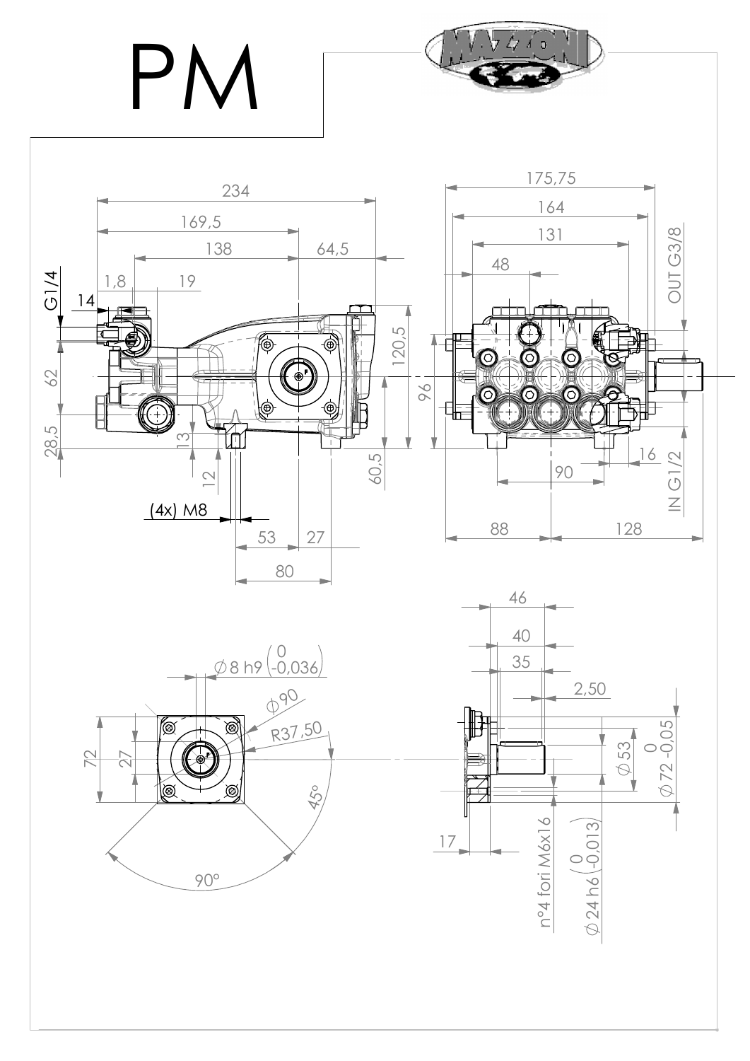PN



 $\Delta$  d  $\pi$